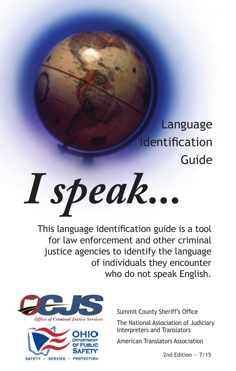Language Identification Guide

*I speak...*

This language identification guide is a tool for law enforcement and other criminal justice agencies to identify the language of individuals they encounter who do not speak English.





Summit County Sheriff's Office

The National Association of Judiciary Interpreters and Translators

American Translators Association

2nd Edition — 7/15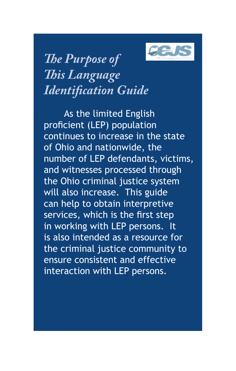

*The Purpose of This Language Identification Guide*

As the limited English proficient (LEP) population continues to increase in the state of Ohio and nationwide, the number of LEP defendants, victims, and witnesses processed through the Ohio criminal justice system will also increase. This guide can help to obtain interpretive services, which is the first step in working with LEP persons. It is also intended as a resource for the criminal justice community to ensure consistent and effective interaction with LEP persons.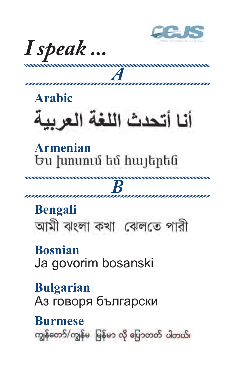

I speak...

# **Arabic** أنا أتحدث اللغة العربية

#### Armenian Ես խոսում եմ հայերեն

## **Bengali** আমী ঝংলা কথা বোলতে পারী

K

**Rosnian** Ja govorim bosanski

**Bulgarian** Аз говоря български

#### **Burmese** ကျွန်တော်/ကျွန်မ မြန်မာ လို ပြောတတ် ပါတယ်၊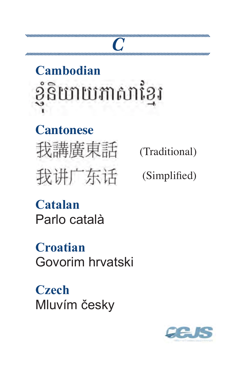# **Cambodian** ខ្ញុំនិយាយភាសាខ្មែរ

*C*

#### **Cantonese**

我講廣東話 我讲广东话

(Traditional)

(Simplified)

**Catalan** Parlo català

**Croatian** Govorim hrvatski

**Czech** Mluvím česky

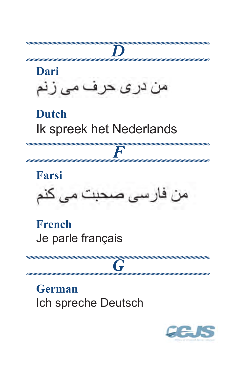

Ich spreche Deutsch

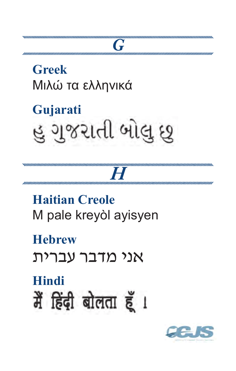

# **Hindi** मैं हिंदी बोलता हूँ।

**Hehrew** אני מדבר עברית

**Haitian Creole** M pale kreyòl ayisyen

# $\boldsymbol{H}$

 $\boldsymbol{G}$ 

Gujarati હુ ગુજરાતી બોલુ છુ

**Greek** Μιλώ τα ελληνικά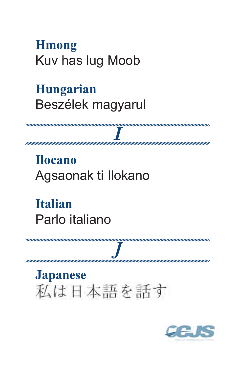#### **H**mong Kuv has lug Moob

#### **Hungarian** Beszélek magyarul

**Ilocano** Agsaonak ti Ilokano

**Italian** Parlo italiano

**Japanese** 私は日本語を話す

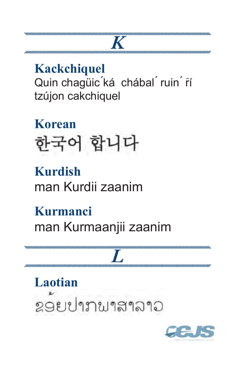#### **Kackchiquel** Quin chaqüic ká chábal ruin rí tzújon cakchiquel

**Korean** 한국어 합니다

#### **Kurdish** man Kurdii zaanim

Kurmanci man Kurmaanjii zaanim

**Laotian** ຂອຍປາກພາສາລາວ

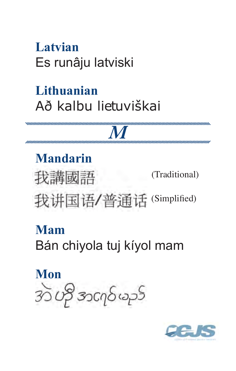#### Latvian Es runâju latviski

#### Lithuanian Að kalbu lietuviškai

**Mandarin** (Traditional) 我講國語 我讲国语/普通话 (Simplified)

#### Mam

Bán chiyola tuj kíyol mam

Mon 30 ဟို အငျဝ်မည်

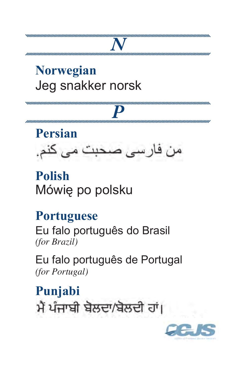#### **Norwegian** Jeg snakker norsk

# *P*

*N*



#### **Polish** Mówię po polsku

#### **Portuguese**

Eu falo português do Brasil *(for Brazil)*

Eu falo português de Portugal *(for Portugal)*

**Punjabi**ਮੈਂ ਪੰਜਾਬੀ ਬੋਲਦਾ/ਬੋਲਦੀ ਹਾਂ।

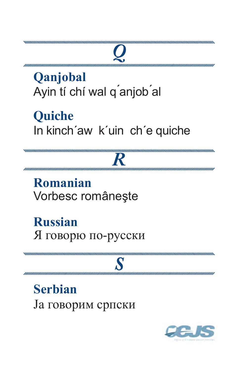#### Qanjobal Ayin tí chí wal q'anjob'al

**Quiche** In kinch'aw k'uin ch'e quiche

Romanian Vorbesc românește

**Russian** Я говорю по-русски

**Serbian** Ја говорим српски

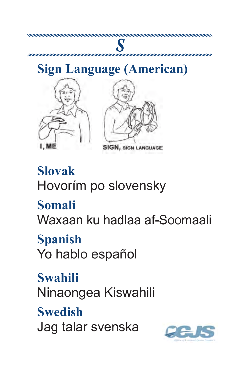#### **Sign Language (American)**

*S*





**SIGN, SIGN LANGUAGE** 

### **Slovak** Hovorím po slovensky

#### **Somali**

Waxaan ku hadlaa af-Soomaali

#### **Spanish**

Yo hablo español

#### **Swahili**

Ninaongea Kiswahili

#### **Swedish**

Jag talar svenska

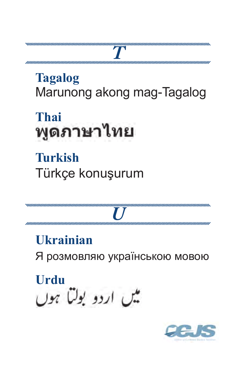### **Tagalog** Marunong akong mag-Tagalog

Thai พูดภาษาไทย

**Turkish** Türkçe konuşurum

**Ukrainian** Я розмовляю українською мовою

Urdu میں اردو بولتا ہوں

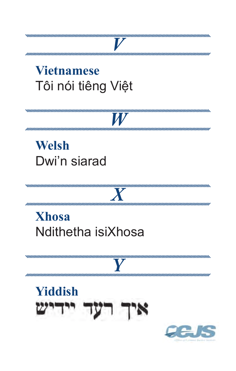#### **Vietnamese** Tôi nói tiêng Việt

 $\boldsymbol{W}$ 

Y

## **Welsh** Dwi'n siarad

#### **Xhosa** Ndithetha isiXhosa

#### **Yiddish** דיש איך רעז

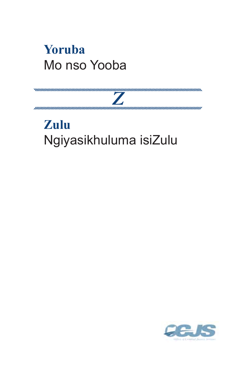#### **Yoruba** Mo nso Yooba

### Zulu Ngiyasikhuluma isiZulu

 $\overline{Z}$